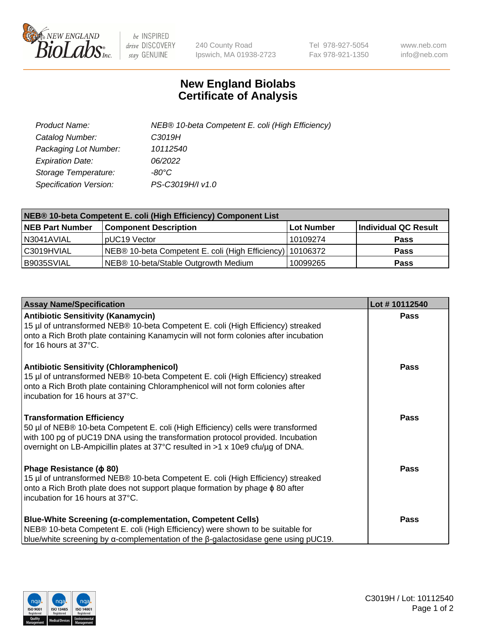

 $be$  INSPIRED drive DISCOVERY stay GENUINE

240 County Road Ipswich, MA 01938-2723 Tel 978-927-5054 Fax 978-921-1350 www.neb.com info@neb.com

## **New England Biolabs Certificate of Analysis**

| Product Name:                 | NEB® 10-beta Competent E. coli (High Efficiency) |
|-------------------------------|--------------------------------------------------|
| Catalog Number:               | C3019H                                           |
| Packaging Lot Number:         | 10112540                                         |
| <b>Expiration Date:</b>       | 06/2022                                          |
| Storage Temperature:          | -80°C                                            |
| <b>Specification Version:</b> | PS-C3019H/I v1.0                                 |

| NEB® 10-beta Competent E. coli (High Efficiency) Component List |                                                           |            |                      |  |
|-----------------------------------------------------------------|-----------------------------------------------------------|------------|----------------------|--|
| <b>NEB Part Number</b>                                          | <b>Component Description</b>                              | Lot Number | Individual QC Result |  |
| N3041AVIAL                                                      | pUC19 Vector                                              | 10109274   | <b>Pass</b>          |  |
| C3019HVIAL                                                      | NEB® 10-beta Competent E. coli (High Efficiency) 10106372 |            | <b>Pass</b>          |  |
| B9035SVIAL                                                      | NEB® 10-beta/Stable Outgrowth Medium                      | 10099265   | <b>Pass</b>          |  |

| <b>Assay Name/Specification</b>                                                                                                                                                                                                                                                           | Lot #10112540 |
|-------------------------------------------------------------------------------------------------------------------------------------------------------------------------------------------------------------------------------------------------------------------------------------------|---------------|
| <b>Antibiotic Sensitivity (Kanamycin)</b><br>15 µl of untransformed NEB® 10-beta Competent E. coli (High Efficiency) streaked<br>onto a Rich Broth plate containing Kanamycin will not form colonies after incubation<br>for 16 hours at 37°C.                                            | Pass          |
| <b>Antibiotic Sensitivity (Chloramphenicol)</b><br>15 µl of untransformed NEB® 10-beta Competent E. coli (High Efficiency) streaked<br>onto a Rich Broth plate containing Chloramphenicol will not form colonies after<br>Incubation for 16 hours at 37°C.                                | <b>Pass</b>   |
| <b>Transformation Efficiency</b><br>50 µl of NEB® 10-beta Competent E. coli (High Efficiency) cells were transformed<br>with 100 pg of pUC19 DNA using the transformation protocol provided. Incubation<br>overnight on LB-Ampicillin plates at 37°C resulted in >1 x 10e9 cfu/µg of DNA. | <b>Pass</b>   |
| Phage Resistance ( $\phi$ 80)<br>15 µl of untransformed NEB® 10-beta Competent E. coli (High Efficiency) streaked<br>onto a Rich Broth plate does not support plaque formation by phage $\phi$ 80 after<br>incubation for 16 hours at 37°C.                                               | <b>Pass</b>   |
| <b>Blue-White Screening (α-complementation, Competent Cells)</b><br>NEB® 10-beta Competent E. coli (High Efficiency) were shown to be suitable for<br>blue/white screening by $\alpha$ -complementation of the $\beta$ -galactosidase gene using pUC19.                                   | Pass          |